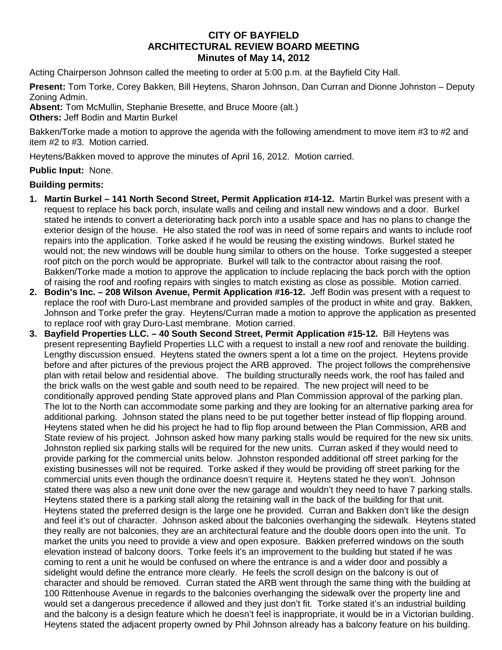## **CITY OF BAYFIELD ARCHITECTURAL REVIEW BOARD MEETING Minutes of May 14, 2012**

Acting Chairperson Johnson called the meeting to order at 5:00 p.m. at the Bayfield City Hall.

**Present:** Tom Torke, Corey Bakken, Bill Heytens, Sharon Johnson, Dan Curran and Dionne Johnston – Deputy Zoning Admin.

**Absent:** Tom McMullin, Stephanie Bresette, and Bruce Moore (alt.) **Others:** Jeff Bodin and Martin Burkel

Bakken/Torke made a motion to approve the agenda with the following amendment to move item #3 to #2 and item #2 to #3. Motion carried.

Heytens/Bakken moved to approve the minutes of April 16, 2012.Motion carried.

## **Public Input:** None.

## **Building permits:**

- **1. Martin Burkel – 141 North Second Street, Permit Application #14-12.** Martin Burkel was present with a request to replace his back porch, insulate walls and ceiling and install new windows and a door. Burkel stated he intends to convert a deteriorating back porch into a usable space and has no plans to change the exterior design of the house. He also stated the roof was in need of some repairs and wants to include roof repairs into the application. Torke asked if he would be reusing the existing windows. Burkel stated he would not; the new windows will be double hung similar to others on the house. Torke suggested a steeper roof pitch on the porch would be appropriate. Burkel will talk to the contractor about raising the roof. Bakken/Torke made a motion to approve the application to include replacing the back porch with the option of raising the roof and roofing repairs with singles to match existing as close as possible. Motion carried.
- **2. Bodin's Inc. – 208 Wilson Avenue, Permit Application #16-12.** Jeff Bodin was present with a request to replace the roof with Duro-Last membrane and provided samples of the product in white and gray. Bakken, Johnson and Torke prefer the gray. Heytens/Curran made a motion to approve the application as presented to replace roof with gray Duro-Last membrane. Motion carried.
- **3. Bayfield Properties LLC. – 40 South Second Street, Permit Application #15-12.** Bill Heytens was present representing Bayfield Properties LLC with a request to install a new roof and renovate the building. Lengthy discussion ensued. Heytens stated the owners spent a lot a time on the project. Heytens provide before and after pictures of the previous project the ARB approved. The project follows the comprehensive plan with retail below and residential above. The building structurally needs work, the roof has failed and the brick walls on the west gable and south need to be repaired. The new project will need to be conditionally approved pending State approved plans and Plan Commission approval of the parking plan. The lot to the North can accommodate some parking and they are looking for an alternative parking area for additional parking. Johnson stated the plans need to be put together better instead of flip flopping around. Heytens stated when he did his project he had to flip flop around between the Plan Commission, ARB and State review of his project. Johnson asked how many parking stalls would be required for the new six units. Johnston replied six parking stalls will be required for the new units. Curran asked if they would need to provide parking for the commercial units below. Johnston responded additional off street parking for the existing businesses will not be required. Torke asked if they would be providing off street parking for the commercial units even though the ordinance doesn't require it. Heytens stated he they won't. Johnson stated there was also a new unit done over the new garage and wouldn't they need to have 7 parking stalls. Heytens stated there is a parking stall along the retaining wall in the back of the building for that unit. Heytens stated the preferred design is the large one he provided. Curran and Bakken don't like the design and feel it's out of character. Johnson asked about the balconies overhanging the sidewalk. Heytens stated they really are not balconies, they are an architectural feature and the double doors open into the unit. To market the units you need to provide a view and open exposure. Bakken preferred windows on the south elevation instead of balcony doors. Torke feels it's an improvement to the building but stated if he was coming to rent a unit he would be confused on where the entrance is and a wider door and possibly a sidelight would define the entrance more clearly. He feels the scroll design on the balcony is out of character and should be removed. Curran stated the ARB went through the same thing with the building at 100 Rittenhouse Avenue in regards to the balconies overhanging the sidewalk over the property line and would set a dangerous precedence if allowed and they just don't fit. Torke stated it's an industrial building and the balcony is a design feature which he doesn't feel is inappropriate, it would be in a Victorian building. Heytens stated the adjacent property owned by Phil Johnson already has a balcony feature on his building.